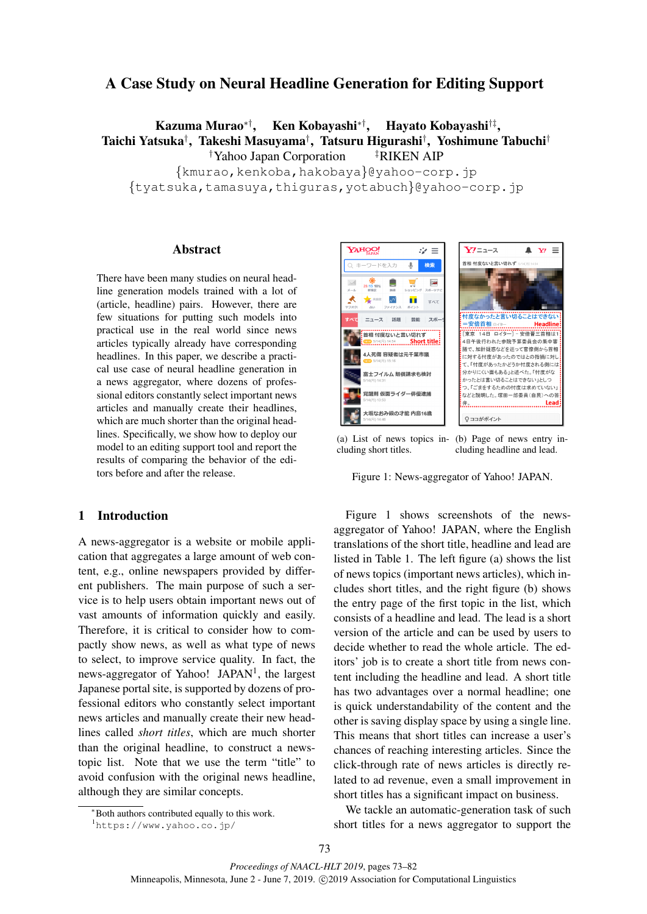# A Case Study on Neural Headline Generation for Editing Support

Kazuma Murao*∗†*, Ken Kobayashi*∗†*, Hayato Kobayashi*†‡* , Taichi Yatsuka*†* , Takeshi Masuyama*†* , Tatsuru Higurashi*†* , Yoshimune Tabuchi*† †*Yahoo Japan Corporation *‡*RIKEN AIP *{*kmurao,kenkoba,hakobaya*}*@yahoo-corp.jp

*{*tyatsuka,tamasuya,thiguras,yotabuch*}*@yahoo-corp.jp

### Abstract

There have been many studies on neural headline generation models trained with a lot of (article, headline) pairs. However, there are few situations for putting such models into practical use in the real world since news articles typically already have corresponding headlines. In this paper, we describe a practical use case of neural headline generation in a news aggregator, where dozens of professional editors constantly select important news articles and manually create their headlines, which are much shorter than the original headlines. Specifically, we show how to deploy our model to an editing support tool and report the results of comparing the behavior of the editors before and after the release.

## 1 Introduction

A news-aggregator is a website or mobile application that aggregates a large amount of web content, e.g., online newspapers provided by different publishers. The main purpose of such a service is to help users obtain important news out of vast amounts of information quickly and easily. Therefore, it is critical to consider how to compactly show news, as well as what type of news to select, to improve service quality. In fact, the news-aggregator of Yahoo! JAPAN<sup>1</sup>, the largest Japanese portal site, is supported by dozens of professional editors who constantly select important news articles and manually create their new headlines called *short titles*, which are much shorter than the original headline, to construct a newstopic list. Note that we use the term "title" to avoid confusion with the original news headline, although they are similar concepts.



(a) List of news topics including short titles. (b) Page of news entry including headline and lead.

Figure 1: News-aggregator of Yahoo! JAPAN.

Figure 1 shows screenshots of the newsaggregator of Yahoo! JAPAN, where the English translations of the short title, headline and lead are listed in Table 1. The left figure (a) shows the list of news topics (important news articles), which includes short titles, and the right figure (b) shows the entry page of the first topic in the list, which consists of a headline and lead. The lead is a short version of the article and can be used by users to decide whether to read the whole article. The editors' job is to create a short title from news content including the headline and lead. A short title has two advantages over a normal headline; one is quick understandability of the content and the other is saving display space by using a single line. This means that short titles can increase a user's chances of reaching interesting articles. Since the click-through rate of news articles is directly related to ad revenue, even a small improvement in short titles has a significant impact on business.

We tackle an automatic-generation task of such short titles for a news aggregator to support the

*<sup>∗</sup>*Both authors contributed equally to this work.

<sup>1</sup>https://www.yahoo.co.jp/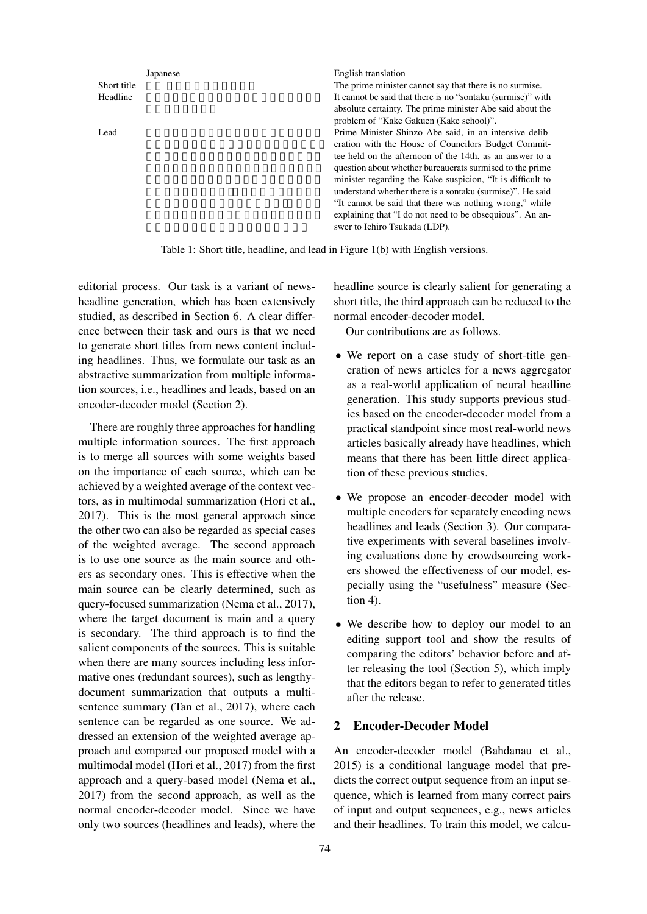| Japanese    | English translation                                         |
|-------------|-------------------------------------------------------------|
| Short title | The prime minister cannot say that there is no surmise.     |
| Headline    | It cannot be said that there is no "sontaku (surmise)" with |
|             | absolute certainty. The prime minister Abe said about the   |
|             | problem of "Kake Gakuen (Kake school)".                     |
| Lead        | Prime Minister Shinzo Abe said, in an intensive delib-      |
|             | eration with the House of Councilors Budget Commit-         |
|             | tee held on the afternoon of the 14th, as an answer to a    |
|             | question about whether bureaucrats surmised to the prime    |
|             | minister regarding the Kake suspicion, "It is difficult to  |
|             | understand whether there is a sontaku (surmise)". He said   |
|             | "It cannot be said that there was nothing wrong," while     |
|             | explaining that "I do not need to be obsequious". An an-    |
|             | swer to Ichiro Tsukada (LDP).                               |
|             |                                                             |

Table 1: Short title, headline, and lead in Figure 1(b) with English versions.

editorial process. Our task is a variant of newsheadline generation, which has been extensively studied, as described in Section 6. A clear difference between their task and ours is that we need to generate short titles from news content including headlines. Thus, we formulate our task as an abstractive summarization from multiple information sources, i.e., headlines and leads, based on an encoder-decoder model (Section 2).

There are roughly three approaches for handling multiple information sources. The first approach is to merge all sources with some weights based on the importance of each source, which can be achieved by a weighted average of the context vectors, as in multimodal summarization (Hori et al., 2017). This is the most general approach since the other two can also be regarded as special cases of the weighted average. The second approach is to use one source as the main source and others as secondary ones. This is effective when the main source can be clearly determined, such as query-focused summarization (Nema et al., 2017), where the target document is main and a query is secondary. The third approach is to find the salient components of the sources. This is suitable when there are many sources including less informative ones (redundant sources), such as lengthydocument summarization that outputs a multisentence summary (Tan et al., 2017), where each sentence can be regarded as one source. We addressed an extension of the weighted average approach and compared our proposed model with a multimodal model (Hori et al., 2017) from the first approach and a query-based model (Nema et al., 2017) from the second approach, as well as the normal encoder-decoder model. Since we have only two sources (headlines and leads), where the headline source is clearly salient for generating a short title, the third approach can be reduced to the normal encoder-decoder model.

Our contributions are as follows.

- We report on a case study of short-title generation of news articles for a news aggregator as a real-world application of neural headline generation. This study supports previous studies based on the encoder-decoder model from a practical standpoint since most real-world news articles basically already have headlines, which means that there has been little direct application of these previous studies.
- *•* We propose an encoder-decoder model with multiple encoders for separately encoding news headlines and leads (Section 3). Our comparative experiments with several baselines involving evaluations done by crowdsourcing workers showed the effectiveness of our model, especially using the "usefulness" measure (Section 4).
- We describe how to deploy our model to an editing support tool and show the results of comparing the editors' behavior before and after releasing the tool (Section 5), which imply that the editors began to refer to generated titles after the release.

# 2 Encoder-Decoder Model

An encoder-decoder model (Bahdanau et al., 2015) is a conditional language model that predicts the correct output sequence from an input sequence, which is learned from many correct pairs of input and output sequences, e.g., news articles and their headlines. To train this model, we calcu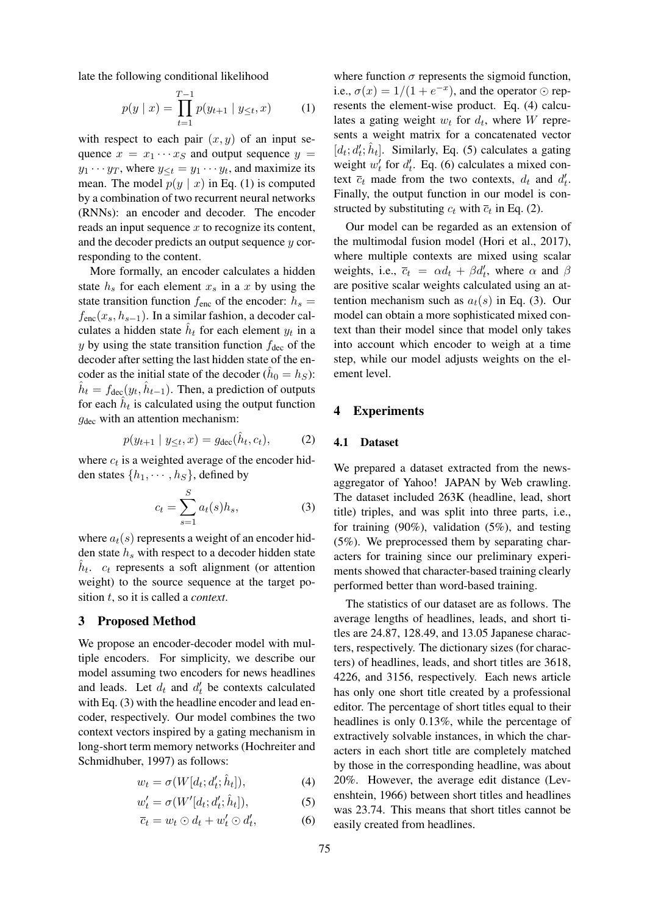late the following conditional likelihood

$$
p(y \mid x) = \prod_{t=1}^{T-1} p(y_{t+1} \mid y_{\leq t}, x) \tag{1}
$$

with respect to each pair  $(x, y)$  of an input sequence  $x = x_1 \cdots x_S$  and output sequence  $y =$ *y*<sub>1</sub> · · · *y*<sub>*T*</sub>, where  $y \le t = y_1 \cdots y_t$ , and maximize its mean. The model  $p(y | x)$  in Eq. (1) is computed by a combination of two recurrent neural networks (RNNs): an encoder and decoder. The encoder reads an input sequence *x* to recognize its content, and the decoder predicts an output sequence *y* corresponding to the content.

More formally, an encoder calculates a hidden state  $h<sub>s</sub>$  for each element  $x<sub>s</sub>$  in a  $x$  by using the state transition function  $f_{\text{enc}}$  of the encoder:  $h_s =$  $f_{\text{enc}}(x_s, h_{s-1})$ . In a similar fashion, a decoder calculates a hidden state  $\hat{h}_t$  for each element  $y_t$  in a *y* by using the state transition function  $f_{\text{dec}}$  of the decoder after setting the last hidden state of the encoder as the initial state of the decoder  $(h_0 = h_S)$ :  $\hat{h}_t = f_{\text{dec}}(y_t, \hat{h}_{t-1})$ . Then, a prediction of outputs for each  $\hat{h}_t$  is calculated using the output function *g*<sub>dec</sub> with an attention mechanism:

$$
p(y_{t+1} | y_{\leq t}, x) = g_{\text{dec}}(\hat{h}_t, c_t), \tag{2}
$$

where  $c_t$  is a weighted average of the encoder hidden states  $\{h_1, \dots, h_S\}$ , defined by

$$
c_t = \sum_{s=1}^{S} a_t(s)h_s,
$$
\n(3)

where  $a_t(s)$  represents a weight of an encoder hidden state *h<sup>s</sup>* with respect to a decoder hidden state  $\hat{h}_t$ . *c<sub>t</sub>* represents a soft alignment (or attention weight) to the source sequence at the target position *t*, so it is called a *context*.

### 3 Proposed Method

We propose an encoder-decoder model with multiple encoders. For simplicity, we describe our model assuming two encoders for news headlines and leads. Let  $d_t$  and  $d'_t$  be contexts calculated with Eq. (3) with the headline encoder and lead encoder, respectively. Our model combines the two context vectors inspired by a gating mechanism in long-short term memory networks (Hochreiter and Schmidhuber, 1997) as follows:

$$
w_t = \sigma(W[d_t; d'_t; \hat{h}_t]), \tag{4}
$$

$$
w_t' = \sigma(W'[d_t; d_t'; \hat{h}_t]), \tag{5}
$$

$$
\overline{c}_t = w_t \odot d_t + w'_t \odot d'_t, \tag{6}
$$

where function  $\sigma$  represents the sigmoid function, i.e.,  $\sigma(x) = 1/(1 + e^{-x})$ , and the operator  $\odot$  represents the element-wise product. Eq. (4) calculates a gating weight  $w_t$  for  $d_t$ , where  $W$  represents a weight matrix for a concatenated vector  $[d_t; d'_t; \hat{h}_t]$ . Similarly, Eq. (5) calculates a gating weight  $w'_t$  for  $d'_t$ . Eq. (6) calculates a mixed context  $\overline{c}_t$  made from the two contexts,  $d_t$  and  $d'_t$ . Finally, the output function in our model is constructed by substituting  $c_t$  with  $\overline{c}_t$  in Eq. (2).

Our model can be regarded as an extension of the multimodal fusion model (Hori et al., 2017), where multiple contexts are mixed using scalar weights, i.e.,  $\overline{c}_t = \alpha d_t + \beta d'_t$ , where  $\alpha$  and  $\beta$ are positive scalar weights calculated using an attention mechanism such as  $a_t(s)$  in Eq. (3). Our model can obtain a more sophisticated mixed context than their model since that model only takes into account which encoder to weigh at a time step, while our model adjusts weights on the element level.

## 4 Experiments

#### 4.1 Dataset

We prepared a dataset extracted from the newsaggregator of Yahoo! JAPAN by Web crawling. The dataset included 263K (headline, lead, short title) triples, and was split into three parts, i.e., for training (90%), validation (5%), and testing (5%). We preprocessed them by separating characters for training since our preliminary experiments showed that character-based training clearly performed better than word-based training.

The statistics of our dataset are as follows. The average lengths of headlines, leads, and short titles are 24.87, 128.49, and 13.05 Japanese characters, respectively. The dictionary sizes (for characters) of headlines, leads, and short titles are 3618, 4226, and 3156, respectively. Each news article has only one short title created by a professional editor. The percentage of short titles equal to their headlines is only 0.13%, while the percentage of extractively solvable instances, in which the characters in each short title are completely matched by those in the corresponding headline, was about 20%. However, the average edit distance (Levenshtein, 1966) between short titles and headlines was 23.74. This means that short titles cannot be easily created from headlines.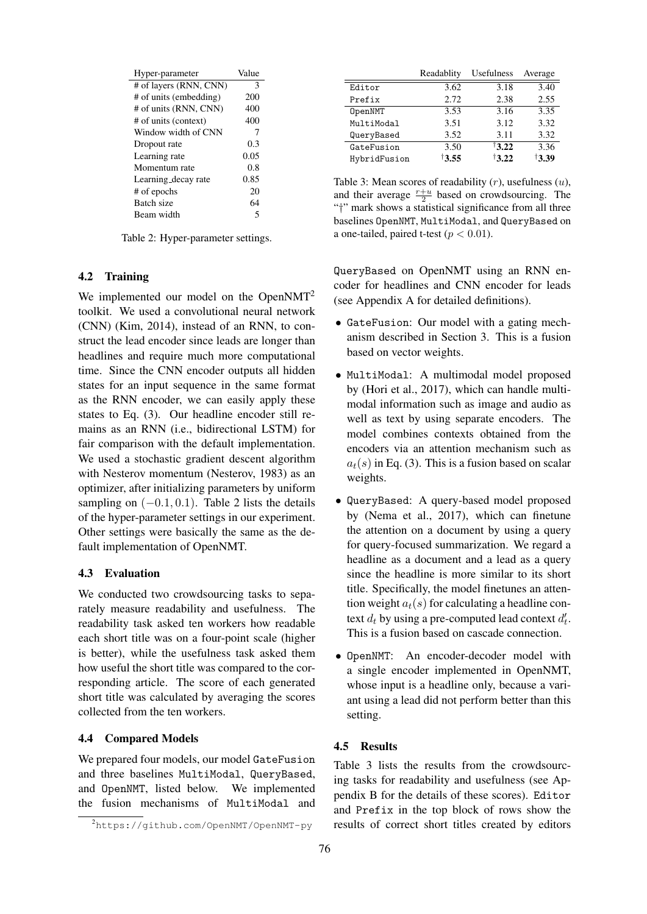| Hyper-parameter        | Value |
|------------------------|-------|
| # of layers (RNN, CNN) | 3     |
| # of units (embedding) | 200   |
| # of units (RNN, CNN)  | 400   |
| # of units (context)   | 400   |
| Window width of CNN    | 7     |
| Dropout rate           | 0.3   |
| Learning rate          | 0.05  |
| Momentum rate          | 0.8   |
| Learning decay rate    | 0.85  |
| # of epochs            | 20    |
| Batch size             | 64    |
| Beam width             | 5     |

Table 2: Hyper-parameter settings.

#### 4.2 Training

We implemented our model on the OpenNMT<sup>2</sup> toolkit. We used a convolutional neural network (CNN) (Kim, 2014), instead of an RNN, to construct the lead encoder since leads are longer than headlines and require much more computational time. Since the CNN encoder outputs all hidden states for an input sequence in the same format as the RNN encoder, we can easily apply these states to Eq. (3). Our headline encoder still remains as an RNN (i.e., bidirectional LSTM) for fair comparison with the default implementation. We used a stochastic gradient descent algorithm with Nesterov momentum (Nesterov, 1983) as an optimizer, after initializing parameters by uniform sampling on (*−*0*.*1*,* 0*.*1). Table 2 lists the details of the hyper-parameter settings in our experiment. Other settings were basically the same as the default implementation of OpenNMT.

## 4.3 Evaluation

We conducted two crowdsourcing tasks to separately measure readability and usefulness. The readability task asked ten workers how readable each short title was on a four-point scale (higher is better), while the usefulness task asked them how useful the short title was compared to the corresponding article. The score of each generated short title was calculated by averaging the scores collected from the ten workers.

## 4.4 Compared Models

We prepared four models, our model GateFusion and three baselines MultiModal, QueryBased, and OpenNMT, listed below. We implemented the fusion mechanisms of MultiModal and

|              | Readablity | Usefulness        | Average |
|--------------|------------|-------------------|---------|
| Editor       | 3.62       | 3.18              | 3.40    |
| Prefix       | 2.72       | 2.38              | 2.55    |
| OpenNMT      | 3.53       | 3.16              | 3.35    |
| MultiModal   | 3.51       | 3.12              | 3.32    |
| QueryBased   | 3.52       | 3.11              | 3.32    |
| GateFusion   | 3.50       | $\dagger$ 3.22    | 3.36    |
| HybridFusion | 13.55      | $\frac{13.22}{ }$ | †3.39   |

Table 3: Mean scores of readability (*r*), usefulness (*u*), and their average  $\frac{r+u}{2}$  based on crowdsourcing. The "*†*" mark shows a statistical significance from all three baselines OpenNMT, MultiModal, and QueryBased on a one-tailed, paired t-test ( $p < 0.01$ ).

QueryBased on OpenNMT using an RNN encoder for headlines and CNN encoder for leads (see Appendix A for detailed definitions).

- *•* GateFusion: Our model with a gating mechanism described in Section 3. This is a fusion based on vector weights.
- *•* MultiModal: A multimodal model proposed by (Hori et al., 2017), which can handle multimodal information such as image and audio as well as text by using separate encoders. The model combines contexts obtained from the encoders via an attention mechanism such as  $a_t(s)$  in Eq. (3). This is a fusion based on scalar weights.
- *•* QueryBased: A query-based model proposed by (Nema et al., 2017), which can finetune the attention on a document by using a query for query-focused summarization. We regard a headline as a document and a lead as a query since the headline is more similar to its short title. Specifically, the model finetunes an attention weight  $a_t(s)$  for calculating a headline context  $d_t$  by using a pre-computed lead context  $d'_t$ . This is a fusion based on cascade connection.
- *•* OpenNMT: An encoder-decoder model with a single encoder implemented in OpenNMT, whose input is a headline only, because a variant using a lead did not perform better than this setting.

## 4.5 Results

Table 3 lists the results from the crowdsourcing tasks for readability and usefulness (see Appendix B for the details of these scores). Editor and Prefix in the top block of rows show the results of correct short titles created by editors

<sup>2</sup>https://github.com/OpenNMT/OpenNMT-py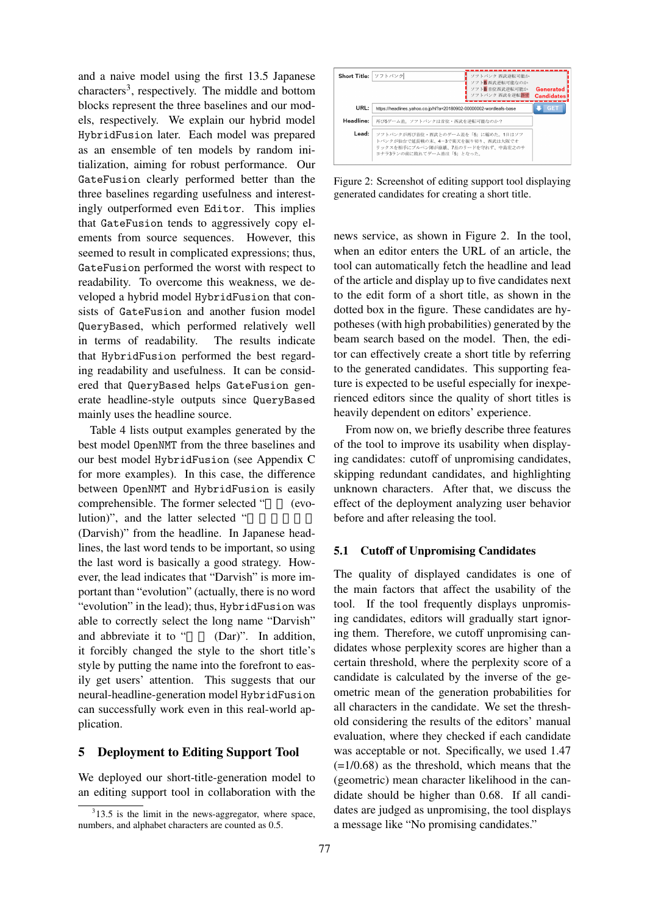and a naive model using the first 13.5 Japanese characters<sup>3</sup>, respectively. The middle and bottom blocks represent the three baselines and our models, respectively. We explain our hybrid model HybridFusion later. Each model was prepared as an ensemble of ten models by random initialization, aiming for robust performance. Our GateFusion clearly performed better than the three baselines regarding usefulness and interestingly outperformed even Editor. This implies that GateFusion tends to aggressively copy elements from source sequences. However, this seemed to result in complicated expressions; thus, GateFusion performed the worst with respect to readability. To overcome this weakness, we developed a hybrid model HybridFusion that consists of GateFusion and another fusion model QueryBased, which performed relatively well in terms of readability. The results indicate that HybridFusion performed the best regarding readability and usefulness. It can be considered that QueryBased helps GateFusion generate headline-style outputs since QueryBased mainly uses the headline source.

Table 4 lists output examples generated by the best model OpenNMT from the three baselines and our best model HybridFusion (see Appendix C for more examples). In this case, the difference between OpenNMT and HybridFusion is easily comprehensible. The former selected " (evolution)", and the latter selected "

(Darvish)" from the headline. In Japanese headlines, the last word tends to be important, so using the last word is basically a good strategy. However, the lead indicates that "Darvish" is more important than "evolution" (actually, there is no word "evolution" in the lead); thus, HybridFusion was able to correctly select the long name "Darvish" and abbreviate it to " (Dar)". In addition, it forcibly changed the style to the short title's style by putting the name into the forefront to easily get users' attention. This suggests that our neural-headline-generation model HybridFusion can successfully work even in this real-world application.

## 5 Deployment to Editing Support Tool

We deployed our short-title-generation model to an editing support tool in collaboration with the



Figure 2: Screenshot of editing support tool displaying generated candidates for creating a short title.

news service, as shown in Figure 2. In the tool, when an editor enters the URL of an article, the tool can automatically fetch the headline and lead of the article and display up to five candidates next to the edit form of a short title, as shown in the dotted box in the figure. These candidates are hypotheses (with high probabilities) generated by the beam search based on the model. Then, the editor can effectively create a short title by referring to the generated candidates. This supporting feature is expected to be useful especially for inexperienced editors since the quality of short titles is heavily dependent on editors' experience.

From now on, we briefly describe three features of the tool to improve its usability when displaying candidates: cutoff of unpromising candidates, skipping redundant candidates, and highlighting unknown characters. After that, we discuss the effect of the deployment analyzing user behavior before and after releasing the tool.

### 5.1 Cutoff of Unpromising Candidates

The quality of displayed candidates is one of the main factors that affect the usability of the tool. If the tool frequently displays unpromising candidates, editors will gradually start ignoring them. Therefore, we cutoff unpromising candidates whose perplexity scores are higher than a certain threshold, where the perplexity score of a candidate is calculated by the inverse of the geometric mean of the generation probabilities for all characters in the candidate. We set the threshold considering the results of the editors' manual evaluation, where they checked if each candidate was acceptable or not. Specifically, we used 1.47  $(=1/0.68)$  as the threshold, which means that the (geometric) mean character likelihood in the candidate should be higher than 0.68. If all candidates are judged as unpromising, the tool displays a message like "No promising candidates."

 $313.5$  is the limit in the news-aggregator, where space, numbers, and alphabet characters are counted as 0.5.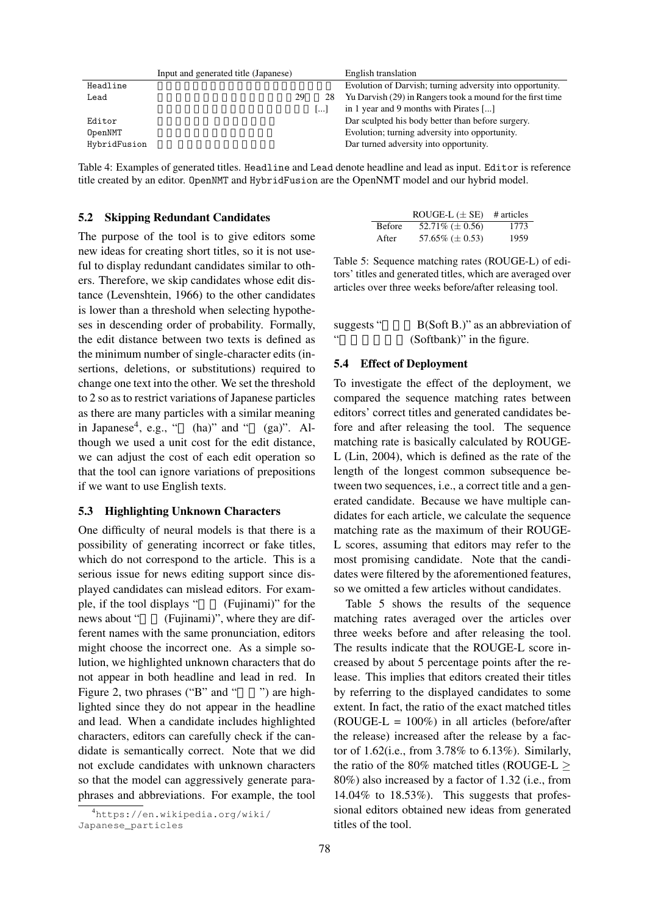|              | Input and generated title (Japanese) |    | English translation                                        |
|--------------|--------------------------------------|----|------------------------------------------------------------|
| Headline     |                                      |    | Evolution of Darvish; turning adversity into opportunity.  |
| Lead         | 29                                   | 28 | Yu Darvish (29) in Rangers took a mound for the first time |
|              |                                      |    | in 1 year and 9 months with Pirates []                     |
| Editor       |                                      |    | Dar sculpted his body better than before surgery.          |
| OpenNMT      |                                      |    | Evolution; turning adversity into opportunity.             |
| HybridFusion |                                      |    | Dar turned adversity into opportunity.                     |
|              |                                      |    |                                                            |

Table 4: Examples of generated titles. Headline and Lead denote headline and lead as input. Editor is reference title created by an editor. OpenNMT and HybridFusion are the OpenNMT model and our hybrid model.

#### 5.2 Skipping Redundant Candidates

The purpose of the tool is to give editors some new ideas for creating short titles, so it is not useful to display redundant candidates similar to others. Therefore, we skip candidates whose edit distance (Levenshtein, 1966) to the other candidates is lower than a threshold when selecting hypotheses in descending order of probability. Formally, the edit distance between two texts is defined as the minimum number of single-character edits (insertions, deletions, or substitutions) required to change one text into the other. We set the threshold to 2 so as to restrict variations of Japanese particles as there are many particles with a similar meaning in Japanese<sup>4</sup>, e.g., "  $(ha)$ " and "  $(ga)$ ". Although we used a unit cost for the edit distance, we can adjust the cost of each edit operation so that the tool can ignore variations of prepositions if we want to use English texts.

## 5.3 Highlighting Unknown Characters

One difficulty of neural models is that there is a possibility of generating incorrect or fake titles, which do not correspond to the article. This is a serious issue for news editing support since displayed candidates can mislead editors. For example, if the tool displays " (Fujinami)" for the news about " (Fujinami)", where they are different names with the same pronunciation, editors might choose the incorrect one. As a simple solution, we highlighted unknown characters that do not appear in both headline and lead in red. In Figure 2, two phrases ("B" and " $"$ ") are highlighted since they do not appear in the headline and lead. When a candidate includes highlighted characters, editors can carefully check if the candidate is semantically correct. Note that we did not exclude candidates with unknown characters so that the model can aggressively generate paraphrases and abbreviations. For example, the tool

|               | ROUGE-L $(\pm$ SE)   | # articles |
|---------------|----------------------|------------|
| <b>Before</b> | 52.71\% $(\pm 0.56)$ | 1773       |
| After         | 57.65% ( $\pm$ 0.53) | 1959       |

Table 5: Sequence matching rates (ROUGE-L) of editors' titles and generated titles, which are averaged over articles over three weeks before/after releasing tool.

| suggests " | $B(Soft B.)$ " as an abbreviation of |
|------------|--------------------------------------|
| 66         | (Softbank)" in the figure.           |

#### 5.4 Effect of Deployment

To investigate the effect of the deployment, we compared the sequence matching rates between editors' correct titles and generated candidates before and after releasing the tool. The sequence matching rate is basically calculated by ROUGE-L (Lin, 2004), which is defined as the rate of the length of the longest common subsequence between two sequences, i.e., a correct title and a generated candidate. Because we have multiple candidates for each article, we calculate the sequence matching rate as the maximum of their ROUGE-L scores, assuming that editors may refer to the most promising candidate. Note that the candidates were filtered by the aforementioned features, so we omitted a few articles without candidates.

Table 5 shows the results of the sequence matching rates averaged over the articles over three weeks before and after releasing the tool. The results indicate that the ROUGE-L score increased by about 5 percentage points after the release. This implies that editors created their titles by referring to the displayed candidates to some extent. In fact, the ratio of the exact matched titles  $(ROUGE-L = 100\%)$  in all articles (before/after the release) increased after the release by a factor of 1.62(i.e., from 3.78% to 6.13%). Similarly, the ratio of the 80% matched titles (ROUGE-L *≥* 80%) also increased by a factor of 1.32 (i.e., from 14.04% to 18.53%). This suggests that professional editors obtained new ideas from generated titles of the tool.

<sup>4</sup>https://en.wikipedia.org/wiki/ Japanese\_particles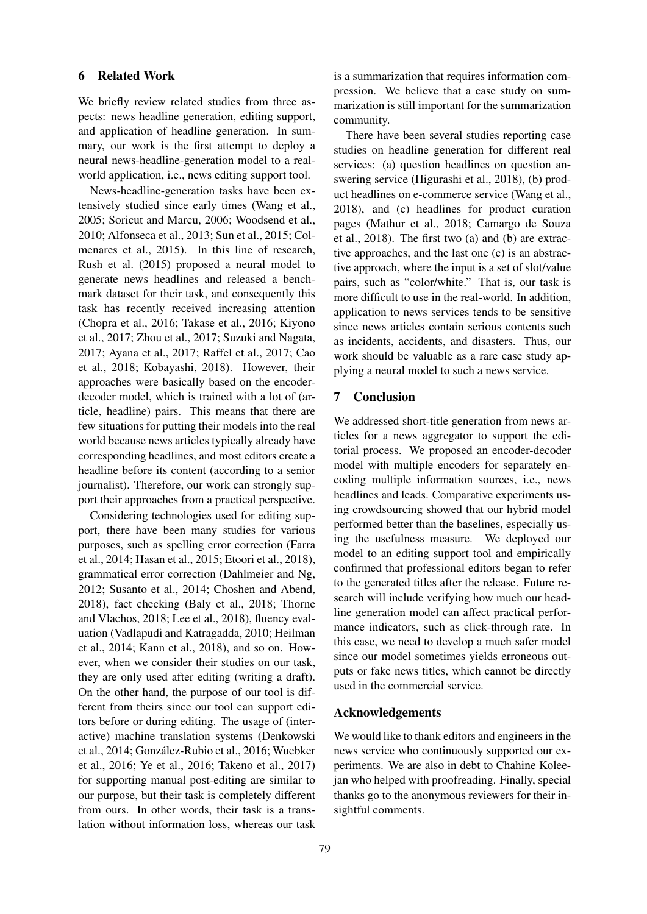## 6 Related Work

We briefly review related studies from three aspects: news headline generation, editing support, and application of headline generation. In summary, our work is the first attempt to deploy a neural news-headline-generation model to a realworld application, i.e., news editing support tool.

News-headline-generation tasks have been extensively studied since early times (Wang et al., 2005; Soricut and Marcu, 2006; Woodsend et al., 2010; Alfonseca et al., 2013; Sun et al., 2015; Colmenares et al., 2015). In this line of research, Rush et al. (2015) proposed a neural model to generate news headlines and released a benchmark dataset for their task, and consequently this task has recently received increasing attention (Chopra et al., 2016; Takase et al., 2016; Kiyono et al., 2017; Zhou et al., 2017; Suzuki and Nagata, 2017; Ayana et al., 2017; Raffel et al., 2017; Cao et al., 2018; Kobayashi, 2018). However, their approaches were basically based on the encoderdecoder model, which is trained with a lot of (article, headline) pairs. This means that there are few situations for putting their models into the real world because news articles typically already have corresponding headlines, and most editors create a headline before its content (according to a senior journalist). Therefore, our work can strongly support their approaches from a practical perspective.

Considering technologies used for editing support, there have been many studies for various purposes, such as spelling error correction (Farra et al., 2014; Hasan et al., 2015; Etoori et al., 2018), grammatical error correction (Dahlmeier and Ng, 2012; Susanto et al., 2014; Choshen and Abend, 2018), fact checking (Baly et al., 2018; Thorne and Vlachos, 2018; Lee et al., 2018), fluency evaluation (Vadlapudi and Katragadda, 2010; Heilman et al., 2014; Kann et al., 2018), and so on. However, when we consider their studies on our task, they are only used after editing (writing a draft). On the other hand, the purpose of our tool is different from theirs since our tool can support editors before or during editing. The usage of (interactive) machine translation systems (Denkowski et al., 2014; Gonzalez-Rubio et al., 2016; Wuebker ´ et al., 2016; Ye et al., 2016; Takeno et al., 2017) for supporting manual post-editing are similar to our purpose, but their task is completely different from ours. In other words, their task is a translation without information loss, whereas our task

is a summarization that requires information compression. We believe that a case study on summarization is still important for the summarization community.

There have been several studies reporting case studies on headline generation for different real services: (a) question headlines on question answering service (Higurashi et al., 2018), (b) product headlines on e-commerce service (Wang et al., 2018), and (c) headlines for product curation pages (Mathur et al., 2018; Camargo de Souza et al., 2018). The first two (a) and (b) are extractive approaches, and the last one (c) is an abstractive approach, where the input is a set of slot/value pairs, such as "color/white." That is, our task is more difficult to use in the real-world. In addition, application to news services tends to be sensitive since news articles contain serious contents such as incidents, accidents, and disasters. Thus, our work should be valuable as a rare case study applying a neural model to such a news service.

## 7 Conclusion

We addressed short-title generation from news articles for a news aggregator to support the editorial process. We proposed an encoder-decoder model with multiple encoders for separately encoding multiple information sources, i.e., news headlines and leads. Comparative experiments using crowdsourcing showed that our hybrid model performed better than the baselines, especially using the usefulness measure. We deployed our model to an editing support tool and empirically confirmed that professional editors began to refer to the generated titles after the release. Future research will include verifying how much our headline generation model can affect practical performance indicators, such as click-through rate. In this case, we need to develop a much safer model since our model sometimes yields erroneous outputs or fake news titles, which cannot be directly used in the commercial service.

#### Acknowledgements

We would like to thank editors and engineers in the news service who continuously supported our experiments. We are also in debt to Chahine Koleejan who helped with proofreading. Finally, special thanks go to the anonymous reviewers for their insightful comments.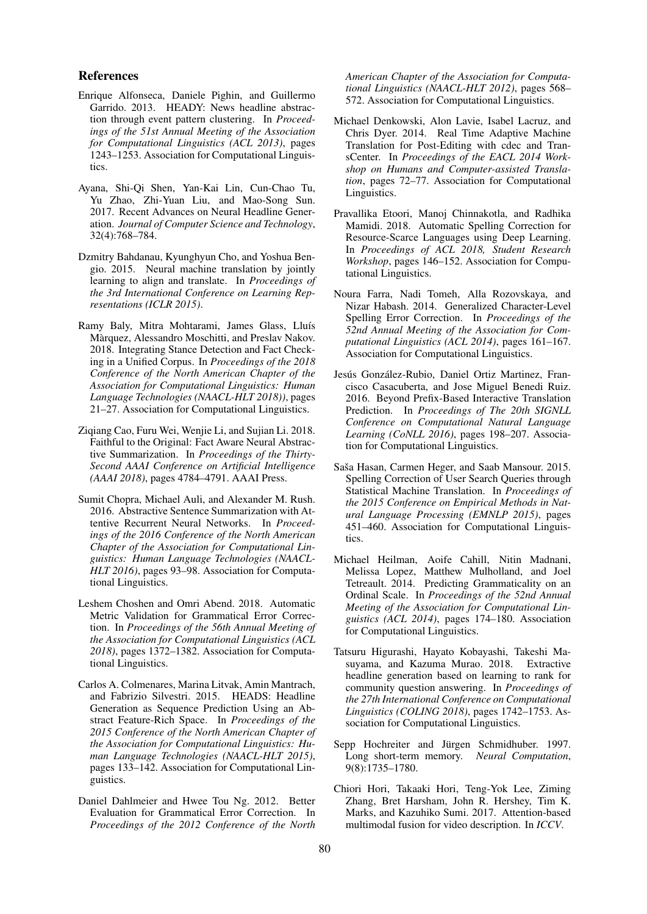### References

- Enrique Alfonseca, Daniele Pighin, and Guillermo Garrido. 2013. HEADY: News headline abstraction through event pattern clustering. In *Proceedings of the 51st Annual Meeting of the Association for Computational Linguistics (ACL 2013)*, pages 1243–1253. Association for Computational Linguistics.
- Ayana, Shi-Qi Shen, Yan-Kai Lin, Cun-Chao Tu, Yu Zhao, Zhi-Yuan Liu, and Mao-Song Sun. 2017. Recent Advances on Neural Headline Generation. *Journal of Computer Science and Technology*, 32(4):768–784.
- Dzmitry Bahdanau, Kyunghyun Cho, and Yoshua Bengio. 2015. Neural machine translation by jointly learning to align and translate. In *Proceedings of the 3rd International Conference on Learning Representations (ICLR 2015)*.
- Ramy Baly, Mitra Mohtarami, James Glass, Lluís Màrquez, Alessandro Moschitti, and Preslav Nakov. 2018. Integrating Stance Detection and Fact Checking in a Unified Corpus. In *Proceedings of the 2018 Conference of the North American Chapter of the Association for Computational Linguistics: Human Language Technologies (NAACL-HLT 2018))*, pages 21–27. Association for Computational Linguistics.
- Ziqiang Cao, Furu Wei, Wenjie Li, and Sujian Li. 2018. Faithful to the Original: Fact Aware Neural Abstractive Summarization. In *Proceedings of the Thirty-Second AAAI Conference on Artificial Intelligence (AAAI 2018)*, pages 4784–4791. AAAI Press.
- Sumit Chopra, Michael Auli, and Alexander M. Rush. 2016. Abstractive Sentence Summarization with Attentive Recurrent Neural Networks. In *Proceedings of the 2016 Conference of the North American Chapter of the Association for Computational Linguistics: Human Language Technologies (NAACL-HLT 2016)*, pages 93–98. Association for Computational Linguistics.
- Leshem Choshen and Omri Abend. 2018. Automatic Metric Validation for Grammatical Error Correction. In *Proceedings of the 56th Annual Meeting of the Association for Computational Linguistics (ACL 2018)*, pages 1372–1382. Association for Computational Linguistics.
- Carlos A. Colmenares, Marina Litvak, Amin Mantrach, and Fabrizio Silvestri. 2015. HEADS: Headline Generation as Sequence Prediction Using an Abstract Feature-Rich Space. In *Proceedings of the 2015 Conference of the North American Chapter of the Association for Computational Linguistics: Human Language Technologies (NAACL-HLT 2015)*, pages 133–142. Association for Computational Linguistics.
- Daniel Dahlmeier and Hwee Tou Ng. 2012. Better Evaluation for Grammatical Error Correction. In *Proceedings of the 2012 Conference of the North*

*American Chapter of the Association for Computational Linguistics (NAACL-HLT 2012)*, pages 568– 572. Association for Computational Linguistics.

- Michael Denkowski, Alon Lavie, Isabel Lacruz, and Chris Dyer. 2014. Real Time Adaptive Machine Translation for Post-Editing with cdec and TransCenter. In *Proceedings of the EACL 2014 Workshop on Humans and Computer-assisted Translation*, pages 72–77. Association for Computational Linguistics.
- Pravallika Etoori, Manoj Chinnakotla, and Radhika Mamidi. 2018. Automatic Spelling Correction for Resource-Scarce Languages using Deep Learning. In *Proceedings of ACL 2018, Student Research Workshop*, pages 146–152. Association for Computational Linguistics.
- Noura Farra, Nadi Tomeh, Alla Rozovskaya, and Nizar Habash. 2014. Generalized Character-Level Spelling Error Correction. In *Proceedings of the 52nd Annual Meeting of the Association for Computational Linguistics (ACL 2014)*, pages 161–167. Association for Computational Linguistics.
- Jesús González-Rubio, Daniel Ortiz Martinez, Francisco Casacuberta, and Jose Miguel Benedi Ruiz. 2016. Beyond Prefix-Based Interactive Translation Prediction. In *Proceedings of The 20th SIGNLL Conference on Computational Natural Language Learning (CoNLL 2016)*, pages 198–207. Association for Computational Linguistics.
- Saša Hasan, Carmen Heger, and Saab Mansour. 2015. Spelling Correction of User Search Queries through Statistical Machine Translation. In *Proceedings of the 2015 Conference on Empirical Methods in Natural Language Processing (EMNLP 2015)*, pages 451–460. Association for Computational Linguistics.
- Michael Heilman, Aoife Cahill, Nitin Madnani, Melissa Lopez, Matthew Mulholland, and Joel Tetreault. 2014. Predicting Grammaticality on an Ordinal Scale. In *Proceedings of the 52nd Annual Meeting of the Association for Computational Linguistics (ACL 2014)*, pages 174–180. Association for Computational Linguistics.
- Tatsuru Higurashi, Hayato Kobayashi, Takeshi Masuyama, and Kazuma Murao. 2018. Extractive headline generation based on learning to rank for community question answering. In *Proceedings of the 27th International Conference on Computational Linguistics (COLING 2018)*, pages 1742–1753. Association for Computational Linguistics.
- Sepp Hochreiter and Jürgen Schmidhuber. 1997. Long short-term memory. *Neural Computation*, 9(8):1735–1780.
- Chiori Hori, Takaaki Hori, Teng-Yok Lee, Ziming Zhang, Bret Harsham, John R. Hershey, Tim K. Marks, and Kazuhiko Sumi. 2017. Attention-based multimodal fusion for video description. In *ICCV*.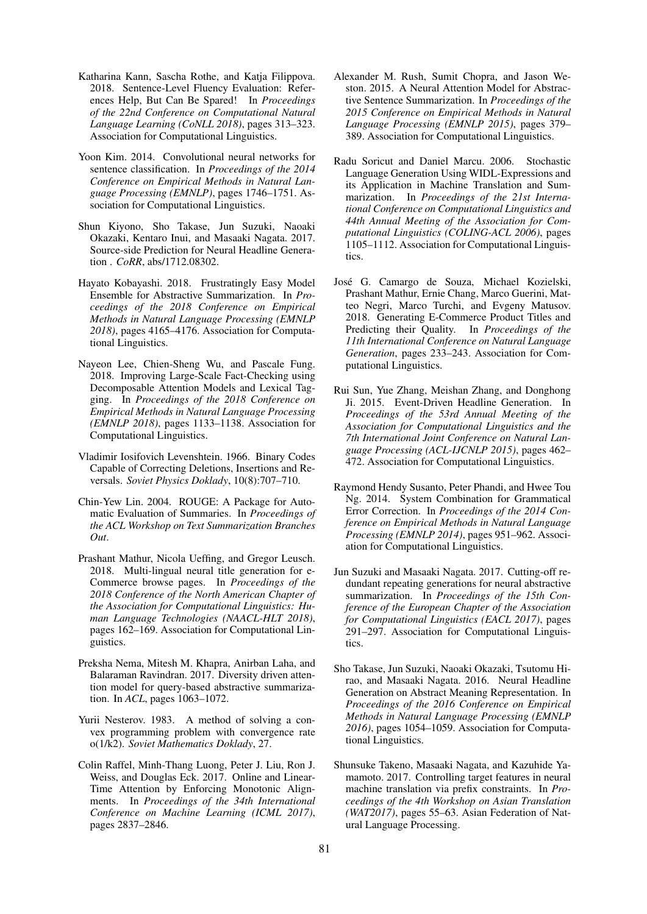- Katharina Kann, Sascha Rothe, and Katia Filippova. 2018. Sentence-Level Fluency Evaluation: References Help, But Can Be Spared! In *Proceedings of the 22nd Conference on Computational Natural Language Learning (CoNLL 2018)*, pages 313–323. Association for Computational Linguistics.
- Yoon Kim. 2014. Convolutional neural networks for sentence classification. In *Proceedings of the 2014 Conference on Empirical Methods in Natural Language Processing (EMNLP)*, pages 1746–1751. Association for Computational Linguistics.
- Shun Kiyono, Sho Takase, Jun Suzuki, Naoaki Okazaki, Kentaro Inui, and Masaaki Nagata. 2017. Source-side Prediction for Neural Headline Generation . *CoRR*, abs/1712.08302.
- Hayato Kobayashi. 2018. Frustratingly Easy Model Ensemble for Abstractive Summarization. In *Proceedings of the 2018 Conference on Empirical Methods in Natural Language Processing (EMNLP 2018)*, pages 4165–4176. Association for Computational Linguistics.
- Nayeon Lee, Chien-Sheng Wu, and Pascale Fung. 2018. Improving Large-Scale Fact-Checking using Decomposable Attention Models and Lexical Tagging. In *Proceedings of the 2018 Conference on Empirical Methods in Natural Language Processing (EMNLP 2018)*, pages 1133–1138. Association for Computational Linguistics.
- Vladimir Iosifovich Levenshtein. 1966. Binary Codes Capable of Correcting Deletions, Insertions and Reversals. *Soviet Physics Doklady*, 10(8):707–710.
- Chin-Yew Lin. 2004. ROUGE: A Package for Automatic Evaluation of Summaries. In *Proceedings of the ACL Workshop on Text Summarization Branches Out*.
- Prashant Mathur, Nicola Ueffing, and Gregor Leusch. 2018. Multi-lingual neural title generation for e-Commerce browse pages. In *Proceedings of the 2018 Conference of the North American Chapter of the Association for Computational Linguistics: Human Language Technologies (NAACL-HLT 2018)*, pages 162–169. Association for Computational Linguistics.
- Preksha Nema, Mitesh M. Khapra, Anirban Laha, and Balaraman Ravindran. 2017. Diversity driven attention model for query-based abstractive summarization. In *ACL*, pages 1063–1072.
- Yurii Nesterov. 1983. A method of solving a convex programming problem with convergence rate o(1/k2). *Soviet Mathematics Doklady*, 27.
- Colin Raffel, Minh-Thang Luong, Peter J. Liu, Ron J. Weiss, and Douglas Eck. 2017. Online and Linear-Time Attention by Enforcing Monotonic Alignments. In *Proceedings of the 34th International Conference on Machine Learning (ICML 2017)*, pages 2837–2846.
- Alexander M. Rush, Sumit Chopra, and Jason Weston. 2015. A Neural Attention Model for Abstractive Sentence Summarization. In *Proceedings of the 2015 Conference on Empirical Methods in Natural Language Processing (EMNLP 2015)*, pages 379– 389. Association for Computational Linguistics.
- Radu Soricut and Daniel Marcu. 2006. Stochastic Language Generation Using WIDL-Expressions and its Application in Machine Translation and Summarization. In *Proceedings of the 21st International Conference on Computational Linguistics and 44th Annual Meeting of the Association for Computational Linguistics (COLING-ACL 2006)*, pages 1105–1112. Association for Computational Linguistics.
- Jose G. Camargo de Souza, Michael Kozielski, ´ Prashant Mathur, Ernie Chang, Marco Guerini, Matteo Negri, Marco Turchi, and Evgeny Matusov. 2018. Generating E-Commerce Product Titles and Predicting their Quality. In *Proceedings of the 11th International Conference on Natural Language Generation*, pages 233–243. Association for Computational Linguistics.
- Rui Sun, Yue Zhang, Meishan Zhang, and Donghong Ji. 2015. Event-Driven Headline Generation. In *Proceedings of the 53rd Annual Meeting of the Association for Computational Linguistics and the 7th International Joint Conference on Natural Language Processing (ACL-IJCNLP 2015)*, pages 462– 472. Association for Computational Linguistics.
- Raymond Hendy Susanto, Peter Phandi, and Hwee Tou Ng. 2014. System Combination for Grammatical Error Correction. In *Proceedings of the 2014 Conference on Empirical Methods in Natural Language Processing (EMNLP 2014)*, pages 951–962. Association for Computational Linguistics.
- Jun Suzuki and Masaaki Nagata. 2017. Cutting-off redundant repeating generations for neural abstractive summarization. In *Proceedings of the 15th Conference of the European Chapter of the Association for Computational Linguistics (EACL 2017)*, pages 291–297. Association for Computational Linguistics.
- Sho Takase, Jun Suzuki, Naoaki Okazaki, Tsutomu Hirao, and Masaaki Nagata. 2016. Neural Headline Generation on Abstract Meaning Representation. In *Proceedings of the 2016 Conference on Empirical Methods in Natural Language Processing (EMNLP 2016)*, pages 1054–1059. Association for Computational Linguistics.
- Shunsuke Takeno, Masaaki Nagata, and Kazuhide Yamamoto. 2017. Controlling target features in neural machine translation via prefix constraints. In *Proceedings of the 4th Workshop on Asian Translation (WAT2017)*, pages 55–63. Asian Federation of Natural Language Processing.